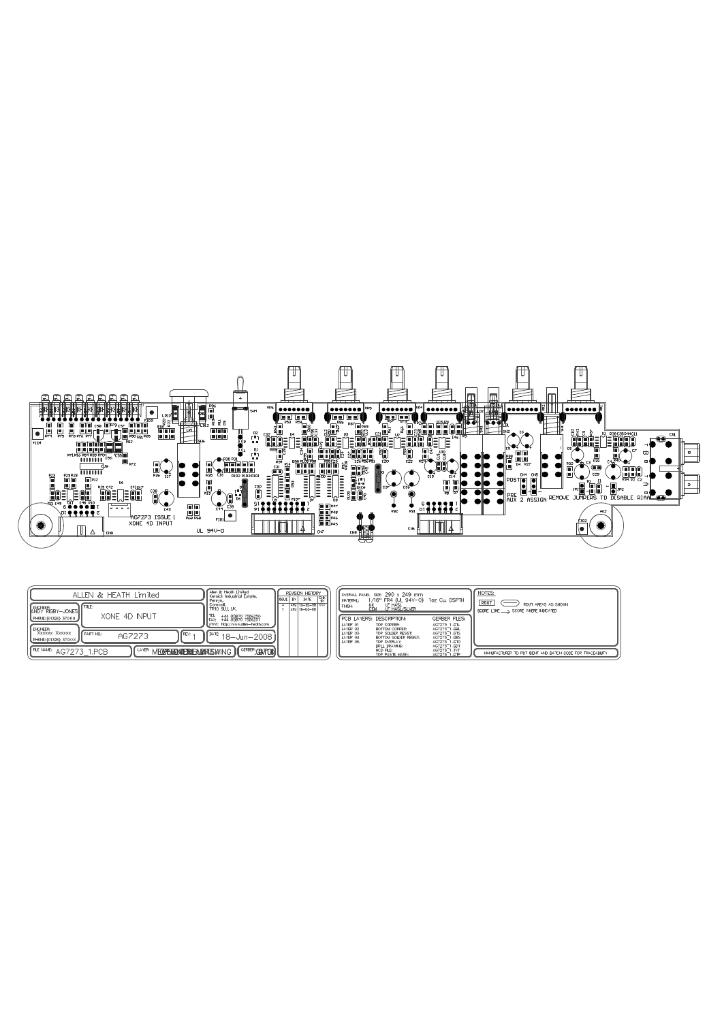

| ALLEN & HEATH Limited                                                                       | Alen & Heath Limited<br>Kemick Industrial Estate.      |  | REVISION HISTORY<br><b>ISSUE BY</b> DATE |  | MATERIAL:                        | OVERALL PANEL SIZE: 290 x 249 mm<br>1/16" FR4 (UL 94V-0) 1oz Cu, DSPTH |                                                                                              | NOTES:<br>ROUT                                                                         |
|---------------------------------------------------------------------------------------------|--------------------------------------------------------|--|------------------------------------------|--|----------------------------------|------------------------------------------------------------------------|----------------------------------------------------------------------------------------------|----------------------------------------------------------------------------------------|
| <b>ITTLE:</b><br>I ANDY RIGBY-JONES<br>XONE 4D INPUT                                        | Cornwall,<br>TR10 SLU, UK,                             |  | ARJ 13-02-08 XXX<br>ARJ 16-04-08         |  | <b>FINSH:</b>                    | LF HASL<br>LF HASL/SILVER<br>UK<br>CEM                                 |                                                                                              | $\overline{\phantom{a}}$<br>ROUT AREAS AS SHOWN<br>SCORE LINE ___ SCORE WHERE NDICATED |
| PHONE: (01326) 370119<br><b>ENGNEER:</b>                                                    | +44 (0)870 7556250<br>I WWW: http://www.glen-heath.com |  |                                          |  | LAYER 01<br>LAYER 02             | <b>FCB LAYERS: DESCRPTION:</b><br>TOP COPPER:<br>BOTTOM COPPER:        | <b>GERBER FLES:</b><br>AG7273 1.GTL                                                          |                                                                                        |
| XXXXXX XXXXXX<br>I FPART NO.:<br>I FREV:<br>AG7273<br>PHONE: (01326) 370XXX                 | . I <sup>DATE</sup> 18-Jun-2008 I J                    |  |                                          |  | LAYER 03<br>LAYER 04<br>LAYER 05 | TOP SOLDER RESIST:<br>BOTTOM SOLDER RESIST:<br>TOP OVERLAY:            | AG7273 <sup>-1</sup> .GBL<br>AG7273 <sup>-1</sup> .GTS<br>AG7273<br>1.GBS<br>1.GTO<br>AG7273 |                                                                                        |
| $\frac{1}{2}$ FLE NAME: $\frac{1}{2}$ AG7273 1.PCB<br>II LAYER: MECOPERIONIERIEAMARISMING " | I GEFEER: CONTON                                       |  |                                          |  |                                  | DRILL DRAWING:<br>NCD FILE:<br>TOP PASTE MASK:                         | AG7273 1.GD1<br>AG7273 1.TXT<br>AG7273 1.GTP                                                 | MANUFACTURER TO PUT IDENT AND BATCH CODE FOR TRACEABLITY                               |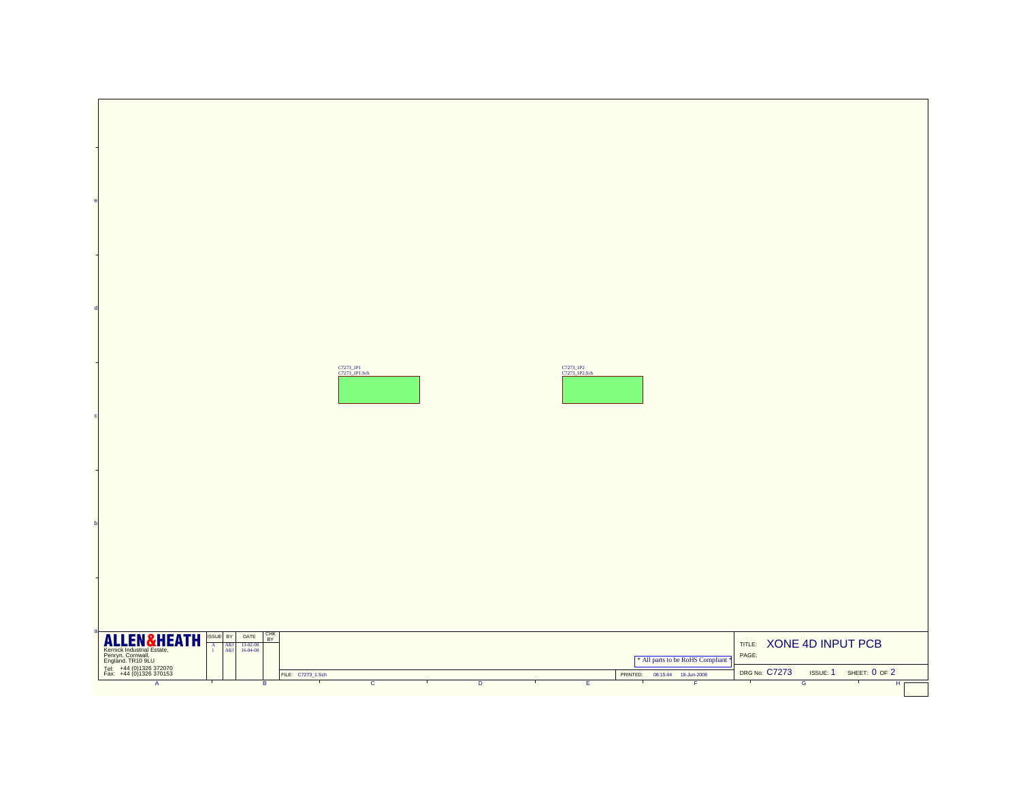|                                                                                                                                                                                                                                                                        | C7273_IPI<br>C7273_IPI.Sch       | C7273_1P2<br>C7273_1P2.Sch              |                                                                                            |
|------------------------------------------------------------------------------------------------------------------------------------------------------------------------------------------------------------------------------------------------------------------------|----------------------------------|-----------------------------------------|--------------------------------------------------------------------------------------------|
|                                                                                                                                                                                                                                                                        |                                  |                                         |                                                                                            |
|                                                                                                                                                                                                                                                                        |                                  |                                         |                                                                                            |
|                                                                                                                                                                                                                                                                        |                                  |                                         |                                                                                            |
|                                                                                                                                                                                                                                                                        |                                  |                                         |                                                                                            |
|                                                                                                                                                                                                                                                                        |                                  |                                         |                                                                                            |
|                                                                                                                                                                                                                                                                        |                                  |                                         |                                                                                            |
|                                                                                                                                                                                                                                                                        |                                  |                                         |                                                                                            |
|                                                                                                                                                                                                                                                                        |                                  |                                         |                                                                                            |
|                                                                                                                                                                                                                                                                        |                                  |                                         |                                                                                            |
|                                                                                                                                                                                                                                                                        |                                  |                                         |                                                                                            |
|                                                                                                                                                                                                                                                                        |                                  |                                         |                                                                                            |
|                                                                                                                                                                                                                                                                        |                                  |                                         |                                                                                            |
|                                                                                                                                                                                                                                                                        |                                  |                                         |                                                                                            |
|                                                                                                                                                                                                                                                                        |                                  |                                         |                                                                                            |
| <b>CHK</b><br>BY<br>ISSUE BY<br>DATE<br>$13-02-08$<br>16-04-08                                                                                                                                                                                                         |                                  |                                         | TITLE: XONE 4D INPUT PCB                                                                   |
| <b>ALLEM &amp;HEATH</b><br>Kemick Industrial Estate,<br>Pengyn, Conwall, Li<br>Tel: +44 (0)1326 372070<br>Fax: +44 (0)1326 372070<br>$\begin{array}{c} \mathbf{A}\\ \mathbf{I} \end{array}$<br>$\begin{array}{ c } \hline \text{ARI} \\ \hline \text{ARI} \end{array}$ |                                  | * All parts to be RoHS Compliant        | PAGE:                                                                                      |
| FILE: C7273_1.Sch<br>$\overline{A}$<br>$\overline{B}$                                                                                                                                                                                                                  | $\overline{c}$<br>$\overline{D}$ | PRINTED: 08:15:44 18-Jun-2008<br>τ<br>Έ | <b>DRG No: C7273</b><br>ISSUE: 1 SHEET: 0 OF 2<br>$\top$<br>$\overline{G}$<br>$H_{\Gamma}$ |
|                                                                                                                                                                                                                                                                        |                                  |                                         |                                                                                            |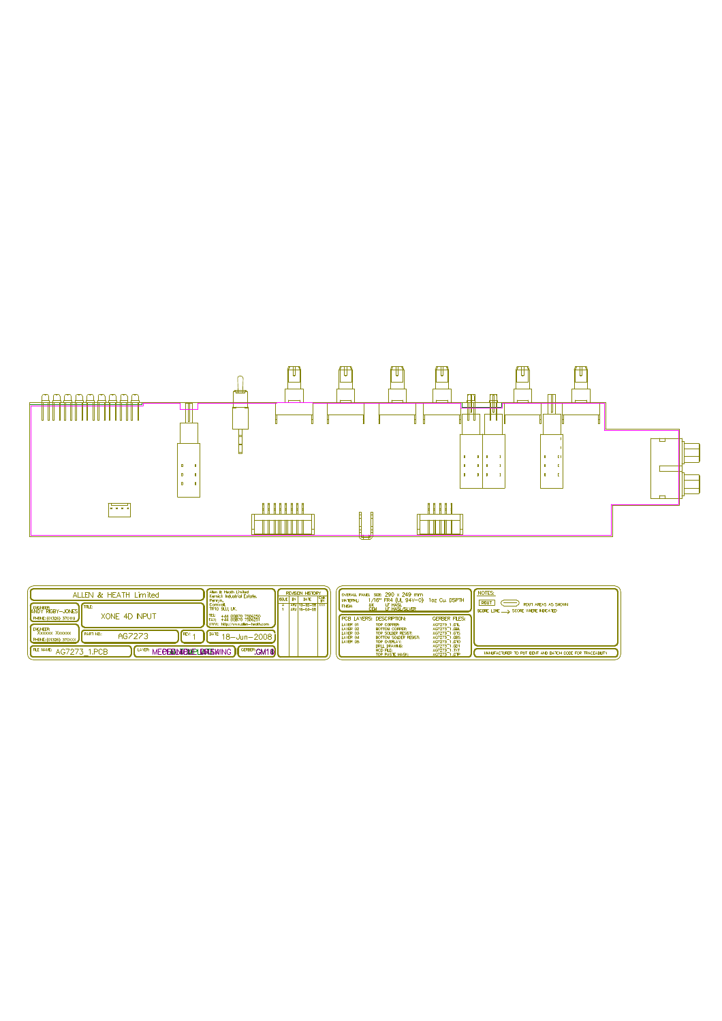

| ALLEN & HEATH Limited                                                                                  | Alen & Heath Limited<br>Kemick Industrial Estate.                                                                         | <b>REVISION HISTORY</b><br><b>ISSLE BY</b> DATE | <b>JOVERALL PANEL SIZE: 290 x 249 mm</b><br>1/16" FR4 (UL 94V-0) 1oz Cu, DSPTH<br>MATERIAL:                                                                                                                                                                               | NOTES:<br><b>ROUT</b>                                             |
|--------------------------------------------------------------------------------------------------------|---------------------------------------------------------------------------------------------------------------------------|-------------------------------------------------|---------------------------------------------------------------------------------------------------------------------------------------------------------------------------------------------------------------------------------------------------------------------------|-------------------------------------------------------------------|
| <b>ANDY RIGBY-JONES</b><br>XONE 4D INPUT<br>PHONE: (01326) 370119                                      | Cornwal,<br>TR10 9LU, UK,<br>TEL:<br>111 (0)870 7556250<br>FAX:                                                           | $\frac{1}{2}$ ARJ 13-02-08 XXX<br>ARJ 16-04-08  | <b>CEM</b><br>LE HASL<br>LE HASL/SILVER<br><b>FINSH:</b><br><b>FCB LAYERS: DESCRPTION:</b><br><b>GERBER FLES:</b>                                                                                                                                                         | <b>ROUT AREAS AS SHOWN</b><br>SCORE LINE ___ SCORE WHERE NDICATED |
| <b>I</b> ENGINEER:<br>XXXXXX XXXXXX<br>N Γrεν⊹.<br><b>FPART NO:</b><br>AG7273<br>PHONE: (01326) 370XXX | WWW: http://www.alen-heath.com<br>$1^{\lceil \frac{\text{DATE}}{\text{DATE}} \cdot 18 - \text{Jun} - 2008 \rceil \rceil}$ |                                                 | TOP COPPER:<br>LAYER 01<br>AG7273_1 .GTL<br>AG7273_1 .GBL<br><b>LAYER 02</b><br>BOTTOM COPPER:<br>LAYER 03<br>AG7273_1 .GTS<br>TOP SOLDER RESIST:<br><b>LAYER 04</b><br>AG7273 1.GBS<br>BOTTOM SOLDER RESIST:<br>LAYER 05<br>AG7273_1.GTO<br>AG7273_1.GD1<br>TOP OVERLAY: |                                                                   |
| $I^{\text{PE NAME}}$ AG7273 1.PCB                                                                      | I LAYER: MECERIDATEMALE LANARSKATING II GERBER: GM1@                                                                      |                                                 | DRILL DRAWING:<br>AG7273 1.TXT<br>NCD FILE:<br>AG7273 1.GTP<br><b>TOP PASTE MASK:</b>                                                                                                                                                                                     | MANUFACTURER TO PUT IDENT AND BATCH CODE FOR TRACEABLITY.         |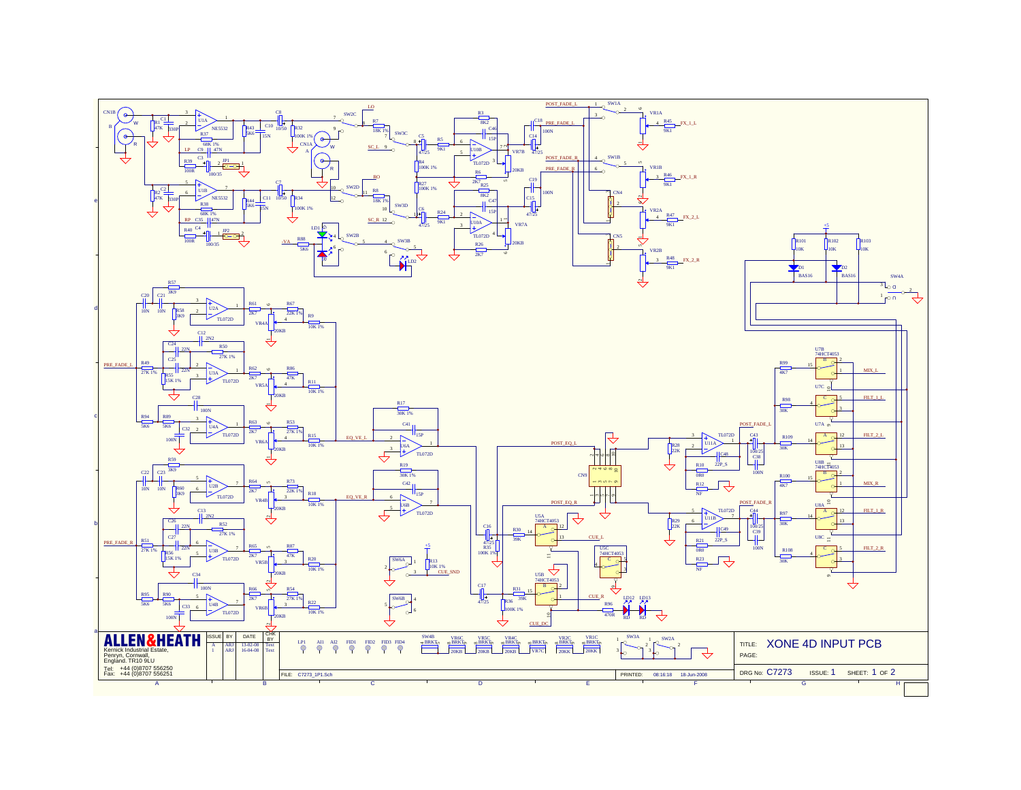